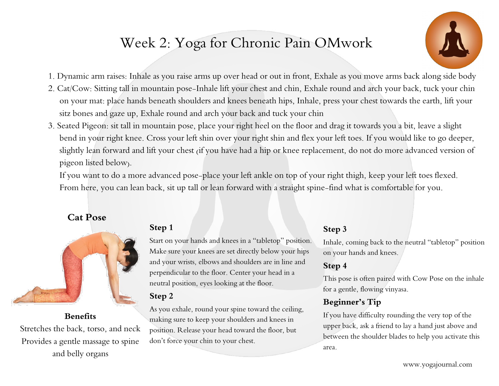# Week 2: Yoga for Chronic Pain OMwork



- 1. Dynamic arm raises: Inhale as you raise arms up over head or out in front, Exhale as you move arms back along side body
- 2. Cat/Cow: Sitting tall in mountain pose-Inhale lift your chest and chin, Exhale round and arch your back, tuck your chin on your mat: place hands beneath shoulders and knees beneath hips, Inhale, press your chest towards the earth, lift your sitz bones and gaze up, Exhale round and arch your back and tuck your chin
- 3. Seated Pigeon: sit tall in mountain pose, place your right heel on the floor and drag it towards you a bit, leave a slight bend in your right knee. Cross your left shin over your right shin and flex your left toes. If you would like to go deeper, slightly lean forward and lift your chest (if you have had a hip or knee replacement, do not do more advanced version of pigeon listed below).

If you want to do a more advanced pose-place your left ankle on top of your right thigh, keep your left toes flexed. From here, you can lean back, sit up tall or lean forward with a straight spine-find what is comfortable for you.

## **Cat Pose**



#### **Benefits**

Stretches the back, torso, and neck Provides a gentle massage to spine and belly organs

## **Step 1**

Start on your hands and knees in a "tabletop" position. Make sure your knees are set directly below your hips and your wrists, elbows and shoulders are in line and perpendicular to the floor. Center your head in a neutral position, eyes looking at the floor.

#### **Step 2**

As you exhale, round your spine toward the ceiling, making sure to keep your shoulders and knees in position. Release your head toward the floor, but don't force your chin to your chest.

## **Step 3**

Inhale, coming back to the neutral "tabletop" position on your hands and knees.

#### **Step 4**

This pose is often paired with Cow Pose on the inhale for a gentle, flowing vinyasa.

## **Beginner's Tip**

If you have difficulty rounding the very top of the upper back, ask a friend to lay a hand just above and between the shoulder blades to help you activate this area.